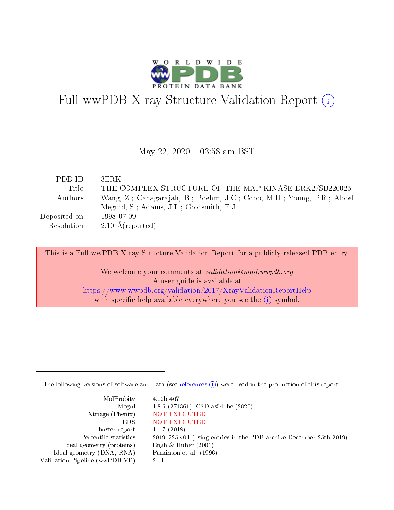

# Full wwPDB X-ray Structure Validation Report (i)

#### May 22,  $2020 - 03:58$  am BST

| PDBID : 3ERK                |                                                                                   |
|-----------------------------|-----------------------------------------------------------------------------------|
|                             | Title : THE COMPLEX STRUCTURE OF THE MAP KINASE ERK2/SB220025                     |
|                             | Authors : Wang, Z.; Canagarajah, B.; Boehm, J.C.; Cobb, M.H.; Young, P.R.; Abdel- |
|                             | Meguid, S.; Adams, J.L.; Goldsmith, E.J.                                          |
| Deposited on : $1998-07-09$ |                                                                                   |
|                             | Resolution : $2.10 \text{ Å}$ (reported)                                          |
|                             |                                                                                   |

This is a Full wwPDB X-ray Structure Validation Report for a publicly released PDB entry.

We welcome your comments at validation@mail.wwpdb.org A user guide is available at <https://www.wwpdb.org/validation/2017/XrayValidationReportHelp> with specific help available everywhere you see the  $(i)$  symbol.

The following versions of software and data (see [references](https://www.wwpdb.org/validation/2017/XrayValidationReportHelp#references)  $(i)$ ) were used in the production of this report:

| MolProbity : $4.02b-467$                            |                                                                                            |
|-----------------------------------------------------|--------------------------------------------------------------------------------------------|
|                                                     | Mogul : 1.8.5 (274361), CSD as541be (2020)                                                 |
|                                                     | Xtriage (Phenix) NOT EXECUTED                                                              |
|                                                     | EDS NOT EXECUTED                                                                           |
| buster-report : $1.1.7(2018)$                       |                                                                                            |
|                                                     | Percentile statistics : 20191225.v01 (using entries in the PDB archive December 25th 2019) |
| Ideal geometry (proteins) : Engh $\&$ Huber (2001)  |                                                                                            |
| Ideal geometry (DNA, RNA) : Parkinson et al. (1996) |                                                                                            |
| Validation Pipeline (wwPDB-VP)                      | - 2.11                                                                                     |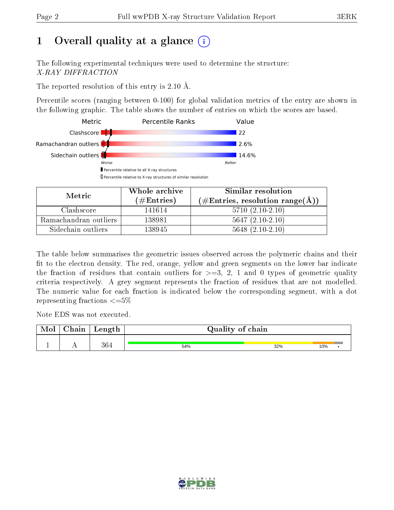# 1 [O](https://www.wwpdb.org/validation/2017/XrayValidationReportHelp#overall_quality)verall quality at a glance  $(i)$

The following experimental techniques were used to determine the structure: X-RAY DIFFRACTION

The reported resolution of this entry is 2.10 Å.

Percentile scores (ranging between 0-100) for global validation metrics of the entry are shown in the following graphic. The table shows the number of entries on which the scores are based.



| Metric                | Whole archive       | Similar resolution                                 |  |  |
|-----------------------|---------------------|----------------------------------------------------|--|--|
|                       | (# $\rm{Entries}$ ) | $(\text{\#Entries, resolution range}(\text{\AA}))$ |  |  |
| Clashscore            | 141614              | $5710(2.10-2.10)$                                  |  |  |
| Ramachandran outliers | 138981              | $5647(2.10-2.10)$                                  |  |  |
| Sidechain outliers    | 138945              | $5648$ $(2.10-2.10)$                               |  |  |

The table below summarises the geometric issues observed across the polymeric chains and their fit to the electron density. The red, orange, yellow and green segments on the lower bar indicate the fraction of residues that contain outliers for  $\geq=3$ , 2, 1 and 0 types of geometric quality criteria respectively. A grey segment represents the fraction of residues that are not modelled. The numeric value for each fraction is indicated below the corresponding segment, with a dot representing fractions  $\epsilon = 5\%$ 

Note EDS was not executed.

| <b>NIOI</b> | 'hain | Length | Quality of chain |     |     |  |  |
|-------------|-------|--------|------------------|-----|-----|--|--|
|             | . .   | 364    | 54%              | 32% | 10% |  |  |

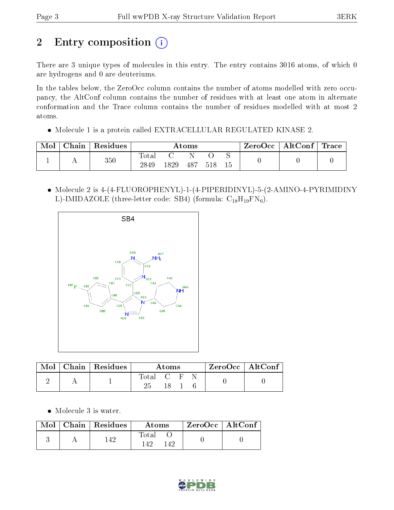# 2 Entry composition (i)

There are 3 unique types of molecules in this entry. The entry contains 3016 atoms, of which 0 are hydrogens and 0 are deuteriums.

In the tables below, the ZeroOcc column contains the number of atoms modelled with zero occupancy, the AltConf column contains the number of residues with at least one atom in alternate conformation and the Trace column contains the number of residues modelled with at most 2 atoms.

Molecule 1 is a protein called EXTRACELLULAR REGULATED KINASE 2.

| Mol | $\cap$ hain | Residues | Atoms                    |      |     |     | ZeroOcc | AltConf | $\mid$ Trace $\mid$ |  |
|-----|-------------|----------|--------------------------|------|-----|-----|---------|---------|---------------------|--|
|     |             | $350\,$  | $\mathrm{Total}$<br>2849 | 1829 | 487 | 518 | 15      |         |                     |  |

 Molecule 2 is 4-(4-FLUOROPHENYL)-1-(4-PIPERIDINYL)-5-(2-AMINO-4-PYRIMIDINY L)-IMIDAZOLE (three-letter code: SB4) (formula:  $C_{18}H_{19}FN_6$ ).



|  | Mol   Chain   Residues | Atoms       |    |  | $\rm ZeroOcc \mid AltConf$ |  |
|--|------------------------|-------------|----|--|----------------------------|--|
|  |                        | Total C F N | 18 |  |                            |  |

Molecule 3 is water.

|  | $\text{Mol}$   Chain   Residues | Atoms                | $ZeroOcc \   \ AltConf$ |  |
|--|---------------------------------|----------------------|-------------------------|--|
|  | 142                             | Total<br>l 49<br>149 |                         |  |

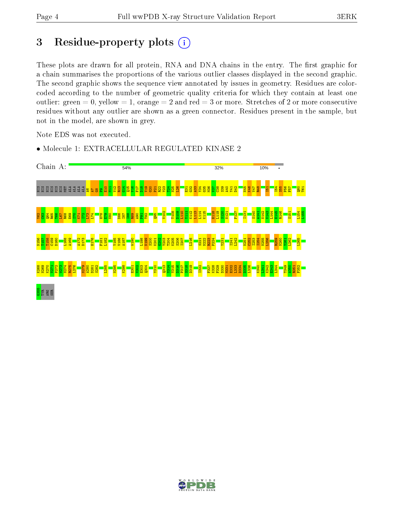## 3 Residue-property plots  $(i)$

These plots are drawn for all protein, RNA and DNA chains in the entry. The first graphic for a chain summarises the proportions of the various outlier classes displayed in the second graphic. The second graphic shows the sequence view annotated by issues in geometry. Residues are colorcoded according to the number of geometric quality criteria for which they contain at least one outlier: green  $= 0$ , yellow  $= 1$ , orange  $= 2$  and red  $= 3$  or more. Stretches of 2 or more consecutive residues without any outlier are shown as a green connector. Residues present in the sample, but not in the model, are shown in grey.

Note EDS was not executed.

- Chain A: 54% 32% 10% e e a a a a a a a <mark>s</mark> a a  $\frac{4}{14}$  $\frac{1}{2}$ <mark>តួន្តន</mark>្ទន<mark>្ទ</mark> I54  $\frac{10}{2}$ E|  $\frac{1}{2}$ R13  $\frac{15}{11}$  $\frac{9}{2}$  $\frac{17}{11}$ D18 V19  $\frac{20}{20}$  $\frac{1}{2}$ R22 Y23 N25 L26 V37 C38 S39 A40 Y41  $\frac{22}{2}$  $\frac{1}{3}$  $\frac{8}{25}$ V47 R48 I51  $\frac{55}{255}$ P56  $\frac{1}{2}$ Q60 T61  $\frac{8}{15}$  $\mathbf{E}$ V102 T108 D109 L110 K112 L113 L114 K115 H118 L119 S120 F127 S140 N142 V143  $L_144$ H145 R146 L154 L155 Y111 N121 I131 A141 S151 Y62  $\frac{3}{2}$  $\frac{1}{6}$ R65 T66 L67 R68 E69 ยา K71  $E_{\parallel}$  $\mathbb{E}$  $L74$ H78  $\mathbb{E}^{\mathbb{P}}$  $\frac{80}{2}$ D86 I87  $\frac{88}{1}$ R89  $\frac{8}{4}$  $\overline{\mathbf{E}}$ T92  $\frac{95}{2}$ N156 T157 T158  $\frac{53}{2}$ D160 L168 A169 A172 D173 H176 F181 L182 Y185 V186 A187 W190 L198 N199 S200 K201  $\frac{202}{20}$ Y203 T204 K205 S206 I207 L216 S221 N222 R223 P224 Y231 I241 L242 N251  $252$ I253 I254 N255 L256 R259 N260 Y261 L262 L265 K268 N269 K270 P272 W273 N274 R275 L276 N279 A280 S282 L285 N295 K298 V302 E303  $2304$ Y310 Q313 Y314 Y315 D316 P317 S318 D319 I322 F327 K328 F329 D330 E332 L333 D334 D335 L336 K340 K342 E343 L344 T349 A350 F352 V271 D281 E301 M331 L341 R351 es<br>Egg<br>Ser
- Molecule 1: EXTRACELLULAR REGULATED KINASE 2

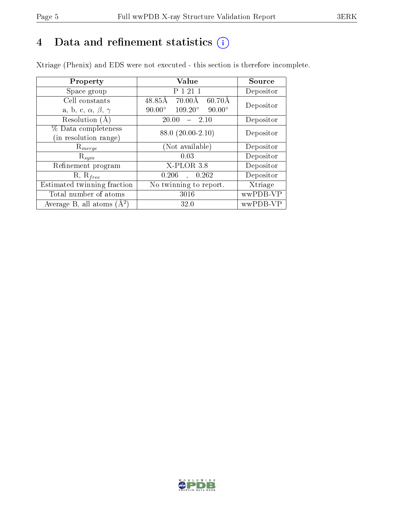# 4 Data and refinement statistics  $(i)$

Xtriage (Phenix) and EDS were not executed - this section is therefore incomplete.

| Property                               | Value                                              | Source    |  |
|----------------------------------------|----------------------------------------------------|-----------|--|
| Space group                            | P 1 21 1                                           | Depositor |  |
| Cell constants                         | 48.85Å<br>$70.00\text{\AA}$<br>$60.70\text{\AA}$   | Depositor |  |
| a, b, c, $\alpha$ , $\beta$ , $\gamma$ | $109.20^{\circ}$<br>$90.00^\circ$<br>$90.00^\circ$ |           |  |
| Resolution (A)                         | 20.00<br>$-2.10$                                   | Depositor |  |
| % Data completeness                    | 88.0 (20.00-2.10)                                  | Depositor |  |
| (in resolution range)                  |                                                    |           |  |
| $\mathrm{R}_{merge}$                   | (Not available)                                    | Depositor |  |
| $\mathrm{R}_{sym}$                     | 0.03                                               | Depositor |  |
| Refinement program                     | X-PLOR 3.8                                         | Depositor |  |
| $R, R_{free}$                          | 0.206<br>0.262                                     | Depositor |  |
| Estimated twinning fraction            | No twinning to report.                             | Xtriage   |  |
| Total number of atoms                  | 3016                                               | wwPDB-VP  |  |
| Average B, all atoms $(A^2)$           | 32.0                                               | wwPDB-VP  |  |

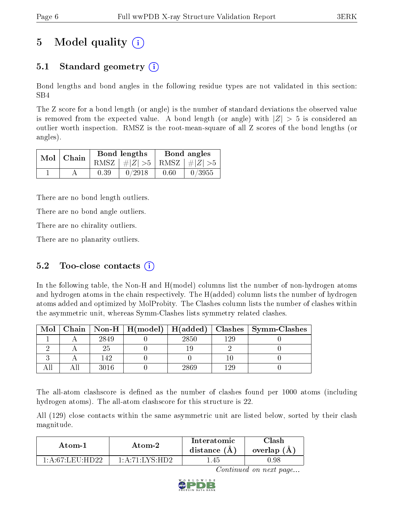# 5 Model quality  $(i)$

## 5.1 Standard geometry  $\overline{()}$

Bond lengths and bond angles in the following residue types are not validated in this section: SB4

The Z score for a bond length (or angle) is the number of standard deviations the observed value is removed from the expected value. A bond length (or angle) with  $|Z| > 5$  is considered an outlier worth inspection. RMSZ is the root-mean-square of all Z scores of the bond lengths (or angles).

| $Mol$   Chain |      | Bond lengths                    | Bond angles |        |  |
|---------------|------|---------------------------------|-------------|--------|--|
|               |      | RMSZ $ #Z  > 5$ RMSZ $ #Z  > 5$ |             |        |  |
|               | 0.39 | 0/2918                          | 0.60        | 0/3955 |  |

There are no bond length outliers.

There are no bond angle outliers.

There are no chirality outliers.

There are no planarity outliers.

#### 5.2 Too-close contacts  $(i)$

In the following table, the Non-H and H(model) columns list the number of non-hydrogen atoms and hydrogen atoms in the chain respectively. The H(added) column lists the number of hydrogen atoms added and optimized by MolProbity. The Clashes column lists the number of clashes within the asymmetric unit, whereas Symm-Clashes lists symmetry related clashes.

| Mol |      |      |     | Chain   Non-H   H(model)   H(added)   Clashes   Symm-Clashes |
|-----|------|------|-----|--------------------------------------------------------------|
|     | 2849 | 2850 | 199 |                                                              |
|     |      |      |     |                                                              |
|     | 142  |      |     |                                                              |
|     | 3016 | 2869 | 199 |                                                              |

The all-atom clashscore is defined as the number of clashes found per 1000 atoms (including hydrogen atoms). The all-atom clashscore for this structure is 22.

All (129) close contacts within the same asymmetric unit are listed below, sorted by their clash magnitude.

| Atom-1            | Atom-2                                                     | Interatomic<br>distance $(A)$ | <b>Clash</b><br>overlap (A) |
|-------------------|------------------------------------------------------------|-------------------------------|-----------------------------|
| 1 A 67 LEILHD 99. | $1 \cdot A \cdot 71 \cdot I \cdot YS \cdot H \overline{D}$ | .45                           | D.98                        |

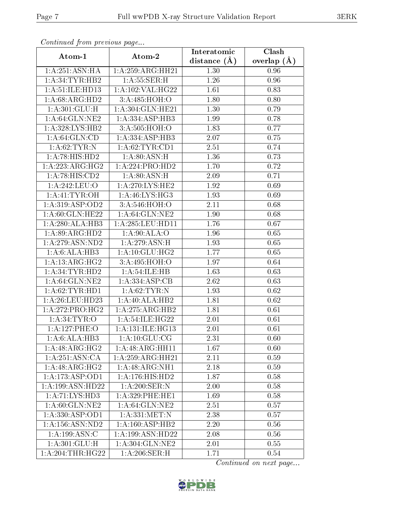| Continuea from previous page |                              | Interatomic    | $\overline{\textbf{C}}$ lash |
|------------------------------|------------------------------|----------------|------------------------------|
| Atom-1                       | Atom-2                       | distance $(A)$ | overlap $(A)$                |
| 1: A:251: ASN: HA            | 1: A:259:ARG:HH21            | 1.30           | 0.96                         |
| 1: A:34:TYR:HB2              | 1: A: 55: SER:H              | 1.26           | $0.96\,$                     |
| 1:A:51:ILE:HD13              | 1:A:102:VAL:HG22             | 1.61           | 0.83                         |
| 1: A:68: ARG:HD2             | 3:A:485:HOH:O                | 1.80           | 0.80                         |
| 1: A:301: GLU: H             | 1:A:304:GLN:HE21             | 1.30           | 0.79                         |
| 1: A:64: GLN:NE2             | 1:A:334:ASP:HB3              | 1.99           | 0.78                         |
| 1:A:328:LYS:HB2              | 3:A:505:HOH:O                | 1.83           | 0.77                         |
| 1: A:64: GLN:CD              | 1:A:334:ASP:HB3              | 2.07           | 0.75                         |
| 1: A:62: TYR: N              | 1: A:62:TYR:CD1              | 2.51           | 0.74                         |
| 1: A:78: HIS: HD2            | 1: A:80: ASN:H               | 1.36           | 0.73                         |
| 1:A:223:ARG:HG2              | 1:A:224:PRO:HD2              | 1.70           | 0.72                         |
| 1:A:78:HIS:CD2               | 1: A:80: ASN:H               | 2.09           | 0.71                         |
| 1:A:242:LEU:O                | 1: A:270: LYS: HE2           | 1.92           | 0.69                         |
| 1: A: 41: TYR: OH            | 1: A:46: LYS:HG3             | 1.93           | 0.69                         |
| 1:A:319:ASP:OD2              | 3:A:546:HOH:O                | 2.11           | 0.68                         |
| 1: A:60: GLN: HE22           | 1: A:64: GLN:NE2             | 1.90           | 0.68                         |
| 1:A:280:ALA:HB3              | 1:A:285:LEU:HD11             | 1.76           | 0.67                         |
| 1: A:89: ARG:HD2             | 1: A:90:ALA:O                | 1.96           | 0.65                         |
| 1: A:279: ASN:ND2            | 1:A:279:ASN:H                | 1.93           | 0.65                         |
| 1:A:6:ALA:HB3                | 1: A:10: GLU: HG2            | 1.77           | 0.65                         |
| 1:A:13:ARG:HG2               | 3:A:495:HOH:O                | 1.97           | 0.64                         |
| 1: A:34:TYR:HD2              | 1: A:54: ILE: HB             | 1.63           | 0.63                         |
| 1: A:64: GLN:NE2             | 1:A:334:ASP:CB               | 2.62           | 0.63                         |
| 1: A:62:TYR:HD1              | 1: A:62:TYR:N                | 1.93           | 0.62                         |
| 1: A:26:LEU:HD23             | 1: A:40:ALA:HB2              | 1.81           | 0.62                         |
| 1: A:272:PRO:HG2             | $1:A:\overline{275:ARG:HB2}$ | 1.81           | 0.61                         |
| 1: A:34:TYR:O                | 1:A:54:ILE:HG22              | 2.01           | 0.61                         |
| 1:A:127:PHE:O                | 1:A:131:ILE:HG13             | $2.01\,$       | 0.61                         |
| 1:A:6:ALA:HB3                | 1: A: 10: GLU: CG            | 2.31           | 0.60                         |
| 1:A:48:ARG:HG2               | 1:A:48:ARG:HH11              | 1.67           | 0.60                         |
| 1:A:251:ASN:CA               | 1:A:259:ARG:HH21             | 2.11           | 0.59                         |
| 1:A:48:ARG:HG2               | 1:A:48:ARG:NH1               | 2.18           | 0.59                         |
| 1:A:173:ASP:OD1              | 1: A: 176: HIS: HD2          | 1.87           | 0.58                         |
| 1:A:199:ASN:HD22             | 1: A:200: SER: N             | 2.00           | 0.58                         |
| 1: A:71: LYS: HD3            | 1: A:329: PHE:HE1            | 1.69           | 0.58                         |
| 1: A:60: GLN: NE2            | 1: A:64: GLN:NE2             | 2.51           | 0.57                         |
| 1: A: 330: ASP: OD1          | 1:A:331:MET:N                | 2.38           | 0.57                         |
| 1: A: 156: ASN: ND2          | $1:\overline{A:160:ASP:HB2}$ | 2.20           | 0.56                         |
| 1:A:199:ASN:C                | 1:A:199:ASN:HD22             | 2.08           | 0.56                         |
| 1: A:301: GLU:H              | 1:A:304:GLN:NE2              | 2.01           | 0.55                         |
| 1:A:204:THR:HG22             | 1: A:206:SER:H               | 1.71           | $0.54\,$                     |

Continued from previous page.

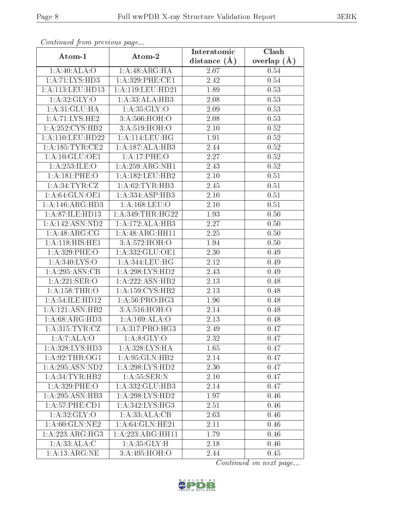| Continuea from previous page |                                    | Interatomic      | Clash         |  |
|------------------------------|------------------------------------|------------------|---------------|--|
| Atom-1                       | Atom-2                             | distance $(\AA)$ | overlap $(A)$ |  |
| 1:A:40:ALA:O                 | 1:A:48:ARG:HA                      | 2.07             | 0.54          |  |
| 1:A:71:LYS:HD3               | 1:A:329:PHE:CE1                    | 2.42             | 0.54          |  |
| 1: A:113: LEU: HD13          | 1: A: 119: LEU: HD21               | 1.89             | 0.53          |  |
| 1: A:32: GLY:O               | 1:A:33:ALA:HB3                     | 2.08             | 0.53          |  |
| 1: A:31: GLU:HA              | 1: A:35: GLY:O                     | 2.09             | 0.53          |  |
| 1:A:71:LYS:HE2               | 3:A:506:HOH:O                      | 2.08             | 0.53          |  |
| 1:A:252:CYS:HB2              | 3:A:519:HOH:O                      | $2.10\,$         | 0.52          |  |
| 1:A:110:LEU:HD22             | 1:A:114:LEU:HG                     | 1.91             | 0.52          |  |
| 1: A: 185: TYR: CE2          | 1:A:187:ALA:HB3                    | 2.44             | 0.52          |  |
| 1:A:10:GLU:OE1               | 1:A:17:PHE:O                       | 2.27             | 0.52          |  |
| 1:A:253:ILE:O                | 1:A:259:ARG:NH1                    | 2.43             | 0.52          |  |
| 1:A:181:PHE:O                | 1:A:182:LEU:HB2                    | 2.10             | 0.51          |  |
| 1: A:34:TYR:CZ               | 1: A:62:TYR:HB3                    | 2.45             | 0.51          |  |
| 1: A:64: GLN:OE1             | 1:A:334:ASP:HB3                    | 2.10             | 0.51          |  |
| 1: A:146: ARG:HD3            | 1: A: 168: LEU: O                  | 2.10             | 0.51          |  |
| 1: A:87: ILE: HD13           | 1: A:349:THR:HG22                  | 1.93             | 0.50          |  |
| 1: A: 142: ASN: ND2          | 1:A:172:ALA:HB3                    | 2.27             | 0.50          |  |
| 1:A:48:ARG:CG                | 1:A:48:ARG:HH11                    | 2.25             | 0.50          |  |
| 1:A:118:HIS:HEL              | 3:A:572:HOH:O                      | 1.94             | 0.50          |  |
| 1:A:329:PHE:O                | 1:A:332:GLU:OE1                    | 2.30             | 0.49          |  |
| 1: A:340: LYS:O              | 1:A:344:LEU:HG                     | 2.12             | 0.49          |  |
| 1: A:295: ASN:CB             | 1: A:298: LYS: HD2                 | 2.43             | 0.49          |  |
| 1:A:221:SER:O                | 1:A:222:ASN:HB2                    | 2.13             | 0.48          |  |
| 1: A: 158: THR:O             | 1: A: 159: CYS: HB2                | 2.13             | 0.48          |  |
| 1:A:54:ILE:HD12              | 1: A:56: PRO:HG3                   | 1.96             | 0.48          |  |
| 1:A:121:ASN:HB2              | 3:A:516:HOH:O                      | 2.14             | 0.48          |  |
| $1:A:68:ARG:H\overline{D3}$  | 1:A:169:ALA:O                      | 2.13             | 0.48          |  |
| 1: A:315: TYR: CZ            | 1:A:317:PRO:HG3                    | 2.49             | 0.47          |  |
| 1:A:7:ALA:O                  | 1: A:8: GLY:O                      | 2.32             | 0.47          |  |
| 1:A:328:LYS:HD3              | 1: A:328: LYS: HA                  | 1.65             | 0.47          |  |
| 1: A:92:THR:OG1              | 1: A:95: GLN:HB2                   | 2.14             | 0.47          |  |
| 1: A:295: ASN:ND2            | 1:A:298:LYS:HD2                    | 2.30             | 0.47          |  |
| 1: A:34:TYR:HB2              | $1: A:55: \overline{\text{SER}:N}$ | 2.10             | 0.47          |  |
| 1:A:329:PHE:O                | 1:A:332:GLU:HB3                    | 2.14             | 0.47          |  |
| 1: A:295:A SN:H B3           | 1: A:298: LYS: HD2                 | 1.97             | 0.46          |  |
| 1:A:57:PHE:CD1               | $1:A:342:\overline{LYS:HG3}$       | 2.51             | 0.46          |  |
| 1: A:32: GLY:O               | 1:A:33:ALA:CB                      | 2.63             | 0.46          |  |
| 1: A:60: GLN: NE2            | 1:A:64:GLN:HE21                    | 2.11             | 0.46          |  |
| 1:A:223:ARG:HG3              | 1:A:223:ARG:HH11                   | 1.79             | 0.46          |  |
| 1: A: 33: ALA: C             | 1: A:35: GLY:H                     | 2.18             | 0.46          |  |
| 1: A: 13: ARG: NE            | $3:A:495:\overline{HOH:O}$         | 2.44             | 0.45          |  |

Continued from previous page.

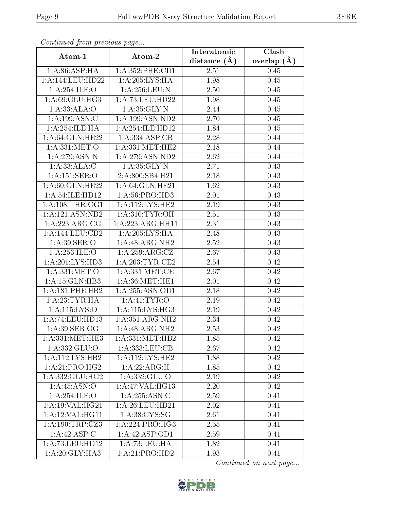| Continuea from previous page   |                     | Interatomic    | Clash           |
|--------------------------------|---------------------|----------------|-----------------|
| Atom-1                         | Atom-2              | distance $(A)$ | overlap $(\AA)$ |
| 1: A:86:ASP:HA                 | 1: A: 352: PHE: CD1 | 2.51           | 0.45            |
| 1: A:144:LEU:HD22              | 1: A:205:LYS:HA     | 1.98           | 0.45            |
| 1:A:254:ILE:O                  | 1: A:256:LEU:N      | 2.50           | $0.45\,$        |
| 1: A:69: GLU: HG3              | 1: A: 73: LEU: HD22 | 1.98           | 0.45            |
| 1:A:33:ALA:O                   | 1: A:35: GLY:N      | 2.44           | 0.45            |
| 1: A: 199: ASN: C              | 1:A:199:ASN:ND2     | 2.70           | 0.45            |
| 1:A:254:ILE:HA                 | 1:A:254:ILE:HD12    | 1.84           | 0.45            |
| 1: A:64: GLN:HE22              | 1:A:334:ASP:CB      | 2.28           | 0.44            |
| 1: A:331:MET:O                 | 1: A: 331: MET: HE2 | 2.18           | 0.44            |
| 1:A:279:ASN:N                  | 1:A:279:ASN:ND2     | 2.62           | 0.44            |
| 1: A:33:ALA:C                  | 1: A:35: GLY:N      | 2.71           | 0.43            |
| 1:A:151:SER:O                  | 2:A:800:SB4:H21     | 2.18           | 0.43            |
| 1: A:60: GLN: HE22             | 1: A:64: GLN:HE21   | 1.62           | 0.43            |
| 1: A:54: ILE: H <sub>D12</sub> | 1: A:56: PRO:HD3    | 2.01           | 0.43            |
| 1: A:108:THR:OG1               | 1:A:112:LYS:HE2     | 2.19           | 0.43            |
| 1: A: 121: ASN: ND2            | 1: A:310: TYR: OH   | 2.51           | 0.43            |
| 1: A:223:ARG:CG                | 1:A:223:ARG:HH11    | 2.31           | 0.43            |
| 1: A:144:LEU:CD2               | 1: A:205:LYS:HA     | 2.48           | 0.43            |
| 1: A:39: SER:O                 | 1:A:48:ARG:NH2      | 2.52           | 0.43            |
| 1:A:253:ILE:O                  | 1: A:259: ARG: CZ   | 2.67           | 0.43            |
| 1:A:201:LYS:HD3                | 1: A:203:TYR:CE2    | 2.54           | 0.42            |
| 1: A:331:MET:O                 | 1: A: 331: MET:CE   | 2.67           | 0.42            |
| 1: A:15: GLN:HB3               | 1: A:36:MET:HE1     | 2.01           | 0.42            |
| 1: A:181:PHE:HB2               | 1: A: 255: ASN: OD1 | 2.18           | 0.42            |
| 1:A:23:TYR:HA                  | 1: A: 41: TYR: O    | 2.19           | 0.42            |
| $1:$ A:115:LYS:O               | 1: A:115: LYS: HG3  | 2.19           | 0.42            |
| 1:A:74:LEU:HD13                | 1: A: 351: ARG: NH2 | 2.34           | 0.42            |
| 1: A:39: SER:OG                | 1:A:48:ARG:NH2      | 2.53           | 0.42            |
| 1: A:331:MET:HE3               | 1: A: 331: MET: HB2 | 1.85           | 0.42            |
| 1:A:332:GLU:O                  | 1:A:333:LEU:CB      | 2.67           | 0.42            |
| 1:A:112:LYS:HB2                | 1:A:112:LYS:HE2     | 1.88           | 0.42            |
| $1:A:21:P\overline{RO:HG2}$    | 1: A:22: ARG:H      | 1.85           | 0.42            |
| 1:A:332:GLU:HG2                | 1:A:332:GLU:O       | 2.19           | 0.42            |
| 1: A:45: ASN:O                 | 1: A:47: VAL:HG13   | 2.20           | 0.42            |
| 1: A:254: ILE: O               | 1:A:255:ASN:C       | 2.59           | 0.41            |
| $1:A:19:\overline{VAL:HG21}$   | 1: A:26:LEU:HD21    | 2.02           | 0.41            |
| 1:A:12:VAL:HG11                | 1: A:38:CYS:SG      | 2.61           | 0.41            |
| 1: A: 190: TRP: CZ3            | 1:A:224:PRO:HG3     | 2.55           | 0.41            |
| 1:A:42:ASP:C                   | 1: A:42: ASP:OD1    | 2.59           | 0.41            |
| 1: A: 73: LEU: HD12            | 1:A:73:LEU:HA       | 1.82           | 0.41            |
| 1: A:20: GLY:HA3               | 1:A:21:PRO:HD2      | 1.93           | 0.41            |

Continued from previous page.

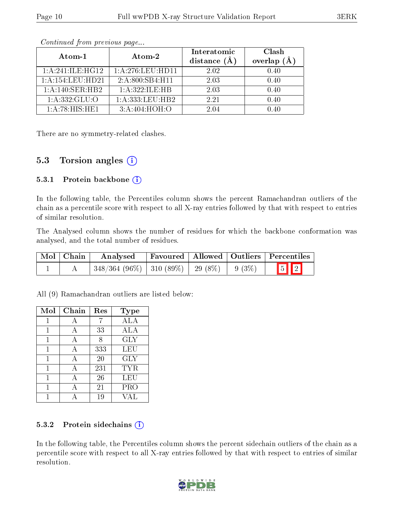| Atom-1              | $\boldsymbol{\mathrm{Atom}\text{-}2}$ | Interatomic<br>distance $(A)$ | Clash<br>overlap<br>(A) |  |
|---------------------|---------------------------------------|-------------------------------|-------------------------|--|
| 1: A:241: ILE: HG12 | 1: A:276:LEU:HD11                     | 2.02                          | 0.40                    |  |
| 1: A:154:LEU:HD21   | 2: A:800: SB4: H11                    | 2.03                          | 0.40                    |  |
| 1:A:140:SER:HB2     | 1: A:322: ILE:HB                      | 2.03                          | 0.40                    |  |
| 1: A: 332: GLU:O    | 1: A: 333: LEU: HB2                   | 2.21                          | 0.40                    |  |
| 1: A:78: HIS: HE1   | 3: A:404: HOH:O                       | 2.04                          |                         |  |

Continued from previous page...

There are no symmetry-related clashes.

#### 5.3 Torsion angles  $(i)$

#### 5.3.1 Protein backbone  $(i)$

In the following table, the Percentiles column shows the percent Ramachandran outliers of the chain as a percentile score with respect to all X-ray entries followed by that with respect to entries of similar resolution.

The Analysed column shows the number of residues for which the backbone conformation was analysed, and the total number of residues.

| $\boxed{\text{Mol}}$ Chain | Analysed                                           |  | <b>Favoured Allowed Outliers Percentiles</b> |  |
|----------------------------|----------------------------------------------------|--|----------------------------------------------|--|
|                            | $348/364$ (96\%)   310 (89\%)   29 (8\%)   9 (3\%) |  | $\boxed{5}$ $\boxed{2}$                      |  |

All (9) Ramachandran outliers are listed below:

| Mol | Chain | Res | Type       |
|-----|-------|-----|------------|
| 1   | А     |     | ALA        |
|     | А     | 33  | ALA        |
|     | А     | 8   | <b>GLY</b> |
| 1   | А     | 333 | <b>LEU</b> |
| 1   | А     | 20  | GLY        |
| 1   | А     | 231 | <b>TYR</b> |
|     | А     | 26  | LEU        |
|     |       | 21  | PRO        |
|     |       | 19  | V A L      |

#### 5.3.2 Protein sidechains  $(i)$

In the following table, the Percentiles column shows the percent sidechain outliers of the chain as a percentile score with respect to all X-ray entries followed by that with respect to entries of similar resolution.

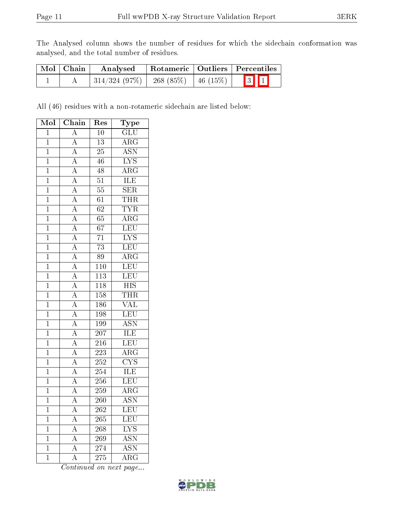The Analysed column shows the number of residues for which the sidechain conformation was analysed, and the total number of residues.

| Mol   Chain | Rotameric   Outliers   Percentiles<br>Analysed |                      |     |  |
|-------------|------------------------------------------------|----------------------|-----|--|
|             | 314/324(97%)                                   | 268 (85%)   46 (15%) | 311 |  |

All (46) residues with a non-rotameric sidechain are listed below:

| Mol            | Chain                                                                   | Type<br>Res      |                           |
|----------------|-------------------------------------------------------------------------|------------------|---------------------------|
| $\mathbf{1}$   | $\overline{A}$                                                          | 10               | GLU                       |
| $\overline{1}$ | $\overline{A}$                                                          | $\overline{13}$  | $\overline{\rm{ARG}}$     |
| $\overline{1}$ | $\overline{A}$                                                          | $\overline{25}$  | <b>ASN</b>                |
| $\overline{1}$ | $\overline{A}$                                                          | 46               | $\overline{\text{LYS}}$   |
| $\overline{1}$ | $\overline{A}$                                                          | 48               | $\overline{\rm{ARG}}$     |
| $\overline{1}$ | $\frac{\overline{A}}{\overline{A}}$                                     | $\overline{51}$  | <b>ILE</b>                |
| $\overline{1}$ |                                                                         | $\overline{55}$  | $\overline{\text{SER}}$   |
| $\overline{1}$ | $\overline{A}$                                                          | $6\overline{1}$  | THR                       |
| $\overline{1}$ | $\overline{A}$                                                          | $\overline{62}$  | <b>TYR</b>                |
| $\mathbf{1}$   |                                                                         | 65               | $\overline{\rm{ARG}}$     |
| $\mathbf{1}$   |                                                                         | $\overline{67}$  | LEU                       |
| $\overline{1}$ | $\frac{\overline{A}}{\overline{A}}$ $\frac{\overline{A}}{\overline{A}}$ | $\overline{71}$  | $\overline{\text{LYS}}$   |
| $\overline{1}$ |                                                                         | $\overline{73}$  | LEU                       |
| $\overline{1}$ |                                                                         | $\overline{89}$  | $\overline{\rm ARG}$      |
| $\mathbf{1}$   |                                                                         | 110              | LEU                       |
| $\mathbf 1$    | $\frac{\overline{A}}{\overline{A}}$ $\frac{\overline{A}}{\overline{A}}$ | $\overline{113}$ | LEU                       |
| $\overline{1}$ |                                                                         | 118              | $\overline{HIS}$          |
| $\overline{1}$ |                                                                         | $\overline{158}$ | <b>THR</b>                |
| $\overline{1}$ | $\frac{\overline{A}}{\overline{A}}$ $\frac{\overline{A}}{\overline{A}}$ | 186              | <b>VAL</b>                |
| $\mathbf{1}$   |                                                                         | 198              | LEU                       |
| $\overline{1}$ |                                                                         | 199              | $\overline{\mathrm{ASN}}$ |
| $\overline{1}$ | $\overline{A}$                                                          | 207              | <b>ILE</b>                |
| $\overline{1}$ | $\overline{A}$                                                          | $\overline{216}$ | LEU                       |
| $\overline{1}$ | $\overline{A}$                                                          | 223              | $\overline{\rm{ARG}}$     |
| $\overline{1}$ | $\overline{A}$                                                          | 252              | $\overline{\text{CYS}}$   |
| $\mathbf{1}$   | $\overline{A}$                                                          | 254              | <b>ILE</b>                |
| $\overline{1}$ | $\overline{A}$                                                          | $256\,$          | <b>LEU</b>                |
| $\overline{1}$ | $\overline{A}$                                                          | 259              | $\overline{\rm{ARG}}$     |
| $\mathbf{1}$   | $\overline{\rm A}$                                                      | 260              | <b>ASN</b>                |
| $\mathbf 1$    | A                                                                       | 262              | LEU                       |
| $\mathbf{1}$   | $\overline{A}$                                                          | 265              | LEU                       |
| $\mathbf 1$    | $\overline{A}$                                                          | 268              | $\overline{\text{LYS}}$   |
| $\overline{1}$ | $\overline{A}$                                                          | 269              | <b>ASN</b>                |
| $\mathbf 1$    | $\overline{A}$                                                          | 274              | <b>ASN</b>                |
| $\mathbf 1$    | $\overline{\rm A}$                                                      | 275              | $\rm{ARG}$                |

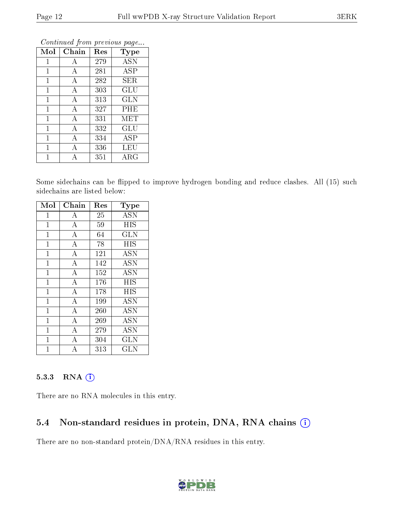| Mol          | Chain | Res | <b>Type</b> |
|--------------|-------|-----|-------------|
| 1            | Α     | 279 | <b>ASN</b>  |
| 1            | А     | 281 | ASP         |
| $\mathbf 1$  | А     | 282 | SER         |
| 1            | А     | 303 | GLU         |
| $\mathbf{1}$ | A     | 313 | <b>GLN</b>  |
| $\mathbf{1}$ | A     | 327 | PHE         |
| $\mathbf{1}$ | А     | 331 | MET         |
| $\mathbf{1}$ | А     | 332 | GLU         |
| $\mathbf{1}$ | А     | 334 | ASP         |
| 1            | А     | 336 | LEU         |
|              | А     | 351 | $\rm{ARG}$  |

Continued from previous page...

Some sidechains can be flipped to improve hydrogen bonding and reduce clashes. All (15) such sidechains are listed below:

| Mol            | Chain              | Res | Type              |
|----------------|--------------------|-----|-------------------|
| $\mathbf{1}$   | А                  | 25  | <b>ASN</b>        |
| $\mathbf 1$    | $\boldsymbol{A}$   | 59  | <b>HIS</b>        |
| $\overline{1}$ | $\overline{\rm A}$ | 64  | GLN               |
| $\mathbf{1}$   | $\overline{A}$     | 78  | <b>HIS</b>        |
| $\mathbf{1}$   | $\bf{A}$           | 121 | $\overline{A}$ SN |
| 1              | $\overline{A}$     | 142 | <b>ASN</b>        |
| $\mathbf{1}$   | $\bf{A}$           | 152 | ASN               |
| $\mathbf 1$    | $\overline{\rm A}$ | 176 | <b>HIS</b>        |
| 1              | $\overline{A}$     | 178 | HIS               |
| $\mathbf{1}$   | $\overline{\rm A}$ | 199 | <b>ASN</b>        |
| $\mathbf{1}$   | $\overline{A}$     | 260 | <b>ASN</b>        |
| $\mathbf{1}$   | $\overline{A}$     | 269 | <b>ASN</b>        |
| $\overline{1}$ | $\boldsymbol{A}$   | 279 | <b>ASN</b>        |
| 1              | $\overline{A}$     | 304 | GLN               |
|                |                    | 313 | GLN               |

#### 5.3.3 RNA (1)

There are no RNA molecules in this entry.

### 5.4 Non-standard residues in protein, DNA, RNA chains (i)

There are no non-standard protein/DNA/RNA residues in this entry.

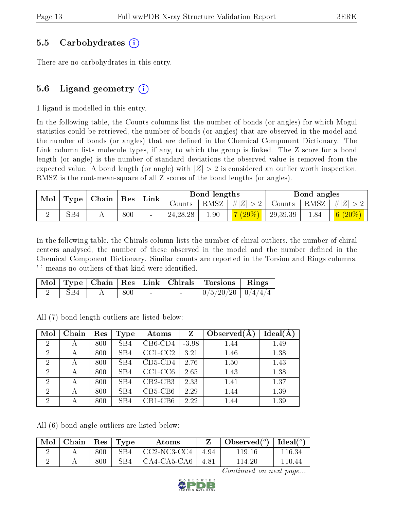#### 5.5 Carbohydrates (i)

There are no carbohydrates in this entry.

### 5.6 Ligand geometry  $(i)$

1 ligand is modelled in this entry.

In the following table, the Counts columns list the number of bonds (or angles) for which Mogul statistics could be retrieved, the number of bonds (or angles) that are observed in the model and the number of bonds (or angles) that are defined in the Chemical Component Dictionary. The Link column lists molecule types, if any, to which the group is linked. The Z score for a bond length (or angle) is the number of standard deviations the observed value is removed from the expected value. A bond length (or angle) with  $|Z| > 2$  is considered an outlier worth inspection. RMSZ is the root-mean-square of all Z scores of the bond lengths (or angles).

|                                                                   |     |        |            | Bond lengths |           |                 | Bond angles                                                                  |                            |
|-------------------------------------------------------------------|-----|--------|------------|--------------|-----------|-----------------|------------------------------------------------------------------------------|----------------------------|
| $\mid$ Mol $\mid$ Type $\mid$ Chain $\mid$ Res $\mid$ Link $\mid$ |     | Counts |            |              |           |                 | $\mid$ RMSZ $\mid \#  Z  > 2 \mid$ Counts $\mid$ RMSZ $\mid \#  Z  > 2 \mid$ |                            |
|                                                                   | SB4 | 800    | 24, 28, 28 | 1.90         | $7(29\%)$ | $^{+}$ 29,39,39 | 1.84                                                                         | $\mid$ $6 \ (20\%) \ \mid$ |

In the following table, the Chirals column lists the number of chiral outliers, the number of chiral centers analysed, the number of these observed in the model and the number defined in the Chemical Component Dictionary. Similar counts are reported in the Torsion and Rings columns. '-' means no outliers of that kind were identified.

|     |     |  | Mol   Type   Chain   Res   Link   Chirals   Torsions   Rings |  |
|-----|-----|--|--------------------------------------------------------------|--|
| SB4 | 800 |  | $\mid 0/5/20/20 \mid 0/4/4/4$                                |  |

All (7) bond length outliers are listed below:

| Mol            | Chain | Res | <b>Type</b>     | Atoms         | Z       | Observed $(A$ | $Ideal(\AA)$ |
|----------------|-------|-----|-----------------|---------------|---------|---------------|--------------|
| $\overline{2}$ | А     | 800 | SB4             | $CB6$ -CD4    | $-3.98$ | 1.44          | 1.49         |
| $\overline{2}$ | А     | 800 | SB <sub>4</sub> | $CC1-CC2$     | 3.21    | 1.46          | 1.38         |
| $\overline{2}$ | А     | 800 | SB4             | $CD5$ - $CD4$ | 2.76    | 1.50          | 1.43         |
| $\overline{2}$ | А     | 800 | SB4             | $CC1-CC6$     | 2.65    | 1.43          | 1.38         |
| $\overline{2}$ | А     | 800 | SB4             | $CB2-CB3$     | 2.33    | 1.41          | 1.37         |
| $\overline{2}$ | А     | 800 | SB4             | $CB5-CB6$     | 2.29    | 1.44          | 1.39         |
| $\overline{2}$ |       | 800 | SB4             | $CB1-CB6$     | 2.22    | 1.44          | 1.39         |

All (6) bond angle outliers are listed below:

| Mol | $\mathbf{\cdot}$ Chain $^+$ |     | $\mid$ Res $\mid$ Type | Atoms                             |      | $\Box$ Observed $({}^o)$ $\Box$ Ideal $({}^o)$ |        |
|-----|-----------------------------|-----|------------------------|-----------------------------------|------|------------------------------------------------|--------|
|     |                             | 800 | SB4                    | $^{\circ}$ CC2-NC3-CC4 $^{\circ}$ | 4.94 | 119.16                                         | 116.34 |
|     |                             | 800 | SB4                    | $^+$ CA4-CA5-CA6 $^-$             | 4.81 | 114.20                                         | 110.44 |

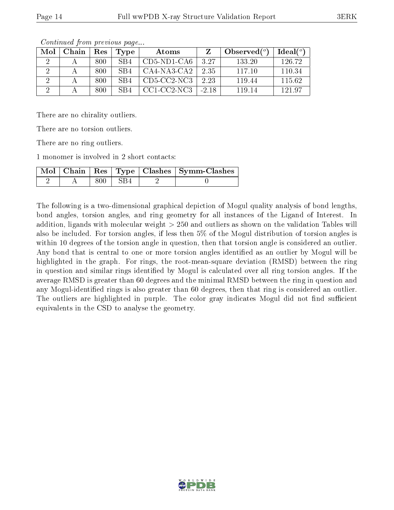| Mol | Chain | <b>Res</b> | Type            | Atoms         |         | $\phi$ Observed( $^o$ ) | Ideal(°) |
|-----|-------|------------|-----------------|---------------|---------|-------------------------|----------|
|     |       | 800        | SB <sub>4</sub> | $CD5-ND1-CA6$ | 327     | 133 20                  | 126.72   |
|     |       | 800        | SB4             | CA4-NA3-CA2   | 235     | 117 10                  | 110.34   |
|     |       | 800        | SB4             | $CD5-CC2-NC3$ | 2.23    | 119.44                  | 115.62   |
|     |       | 800        | SB4             | CC1-CC2-NC3   | $-2.18$ | 119 14                  | 121.97   |

Continued from previous page...

There are no chirality outliers.

There are no torsion outliers.

There are no ring outliers.

1 monomer is involved in 2 short contacts:

|  |           | Mol   Chain   Res   Type   Clashes   Symm-Clashes |
|--|-----------|---------------------------------------------------|
|  | 800 L SB4 |                                                   |

The following is a two-dimensional graphical depiction of Mogul quality analysis of bond lengths, bond angles, torsion angles, and ring geometry for all instances of the Ligand of Interest. In addition, ligands with molecular weight > 250 and outliers as shown on the validation Tables will also be included. For torsion angles, if less then 5% of the Mogul distribution of torsion angles is within 10 degrees of the torsion angle in question, then that torsion angle is considered an outlier. Any bond that is central to one or more torsion angles identified as an outlier by Mogul will be highlighted in the graph. For rings, the root-mean-square deviation (RMSD) between the ring in question and similar rings identified by Mogul is calculated over all ring torsion angles. If the average RMSD is greater than 60 degrees and the minimal RMSD between the ring in question and any Mogul-identied rings is also greater than 60 degrees, then that ring is considered an outlier. The outliers are highlighted in purple. The color gray indicates Mogul did not find sufficient equivalents in the CSD to analyse the geometry.

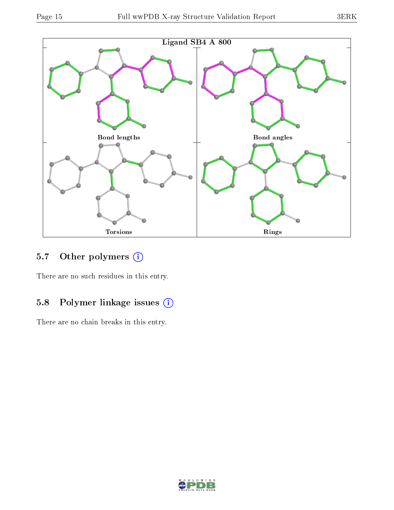

## 5.7 [O](https://www.wwpdb.org/validation/2017/XrayValidationReportHelp#nonstandard_residues_and_ligands)ther polymers (i)

There are no such residues in this entry.

## 5.8 Polymer linkage issues (i)

There are no chain breaks in this entry.